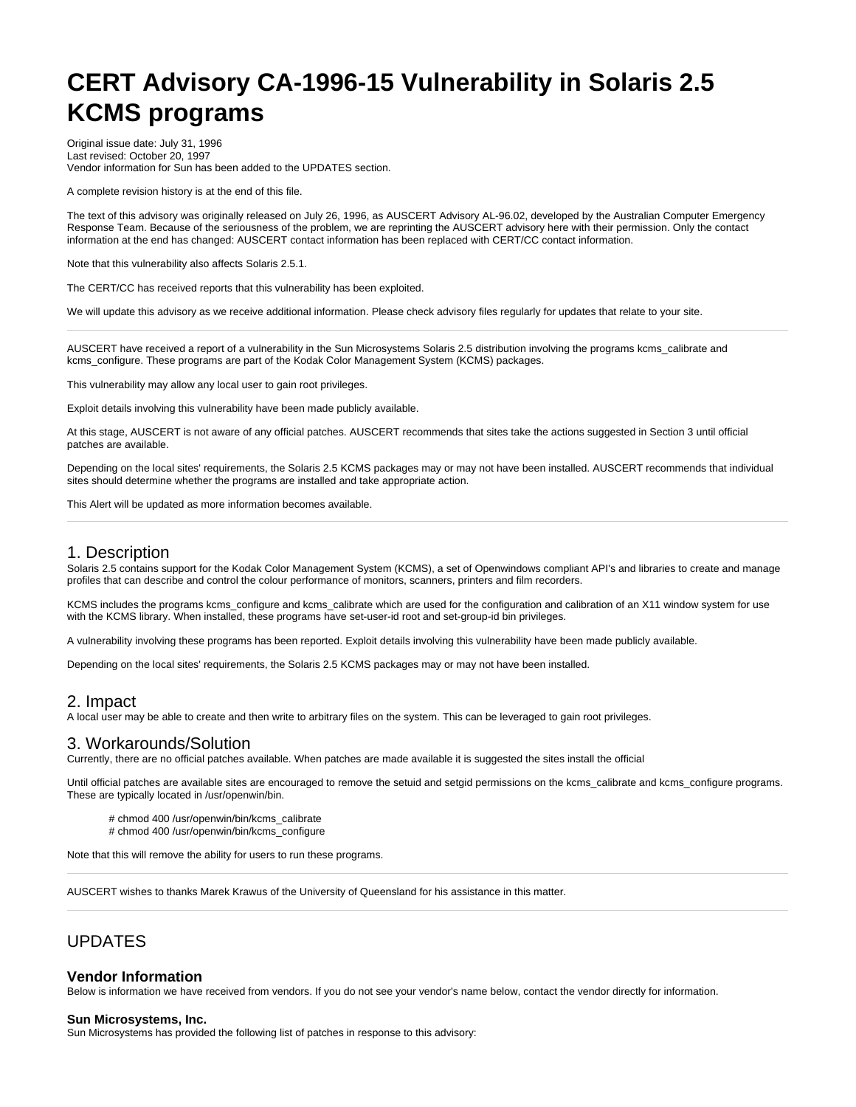# **CERT Advisory CA-1996-15 Vulnerability in Solaris 2.5 KCMS programs**

Original issue date: July 31, 1996 Last revised: October 20, 1997 Vendor information for Sun has been added to the UPDATES section.

A complete revision history is at the end of this file.

The text of this advisory was originally released on July 26, 1996, as AUSCERT Advisory AL-96.02, developed by the Australian Computer Emergency Response Team. Because of the seriousness of the problem, we are reprinting the AUSCERT advisory here with their permission. Only the contact information at the end has changed: AUSCERT contact information has been replaced with CERT/CC contact information.

Note that this vulnerability also affects Solaris 2.5.1.

The CERT/CC has received reports that this vulnerability has been exploited.

We will update this advisory as we receive additional information. Please check advisory files regularly for updates that relate to your site.

AUSCERT have received a report of a vulnerability in the Sun Microsystems Solaris 2.5 distribution involving the programs kcms\_calibrate and kcms\_configure. These programs are part of the Kodak Color Management System (KCMS) packages.

This vulnerability may allow any local user to gain root privileges.

Exploit details involving this vulnerability have been made publicly available.

At this stage, AUSCERT is not aware of any official patches. AUSCERT recommends that sites take the actions suggested in Section 3 until official patches are available.

Depending on the local sites' requirements, the Solaris 2.5 KCMS packages may or may not have been installed. AUSCERT recommends that individual sites should determine whether the programs are installed and take appropriate action.

This Alert will be updated as more information becomes available.

#### 1. Description

Solaris 2.5 contains support for the Kodak Color Management System (KCMS), a set of Openwindows compliant API's and libraries to create and manage profiles that can describe and control the colour performance of monitors, scanners, printers and film recorders.

KCMS includes the programs kcms\_configure and kcms\_calibrate which are used for the configuration and calibration of an X11 window system for use with the KCMS library. When installed, these programs have set-user-id root and set-group-id bin privileges.

A vulnerability involving these programs has been reported. Exploit details involving this vulnerability have been made publicly available.

Depending on the local sites' requirements, the Solaris 2.5 KCMS packages may or may not have been installed.

### 2. Impact

A local user may be able to create and then write to arbitrary files on the system. This can be leveraged to gain root privileges.

## 3. Workarounds/Solution

Currently, there are no official patches available. When patches are made available it is suggested the sites install the official

Until official patches are available sites are encouraged to remove the setuid and setgid permissions on the kcms calibrate and kcms configure programs. These are typically located in /usr/openwin/bin.

# chmod 400 /usr/openwin/bin/kcms\_calibrate

# chmod 400 /usr/openwin/bin/kcms\_configure

Note that this will remove the ability for users to run these programs.

AUSCERT wishes to thanks Marek Krawus of the University of Queensland for his assistance in this matter.

## UPDATES

#### **Vendor Information**

Below is information we have received from vendors. If you do not see your vendor's name below, contact the vendor directly for information.

#### **Sun Microsystems, Inc.**

Sun Microsystems has provided the following list of patches in response to this advisory: